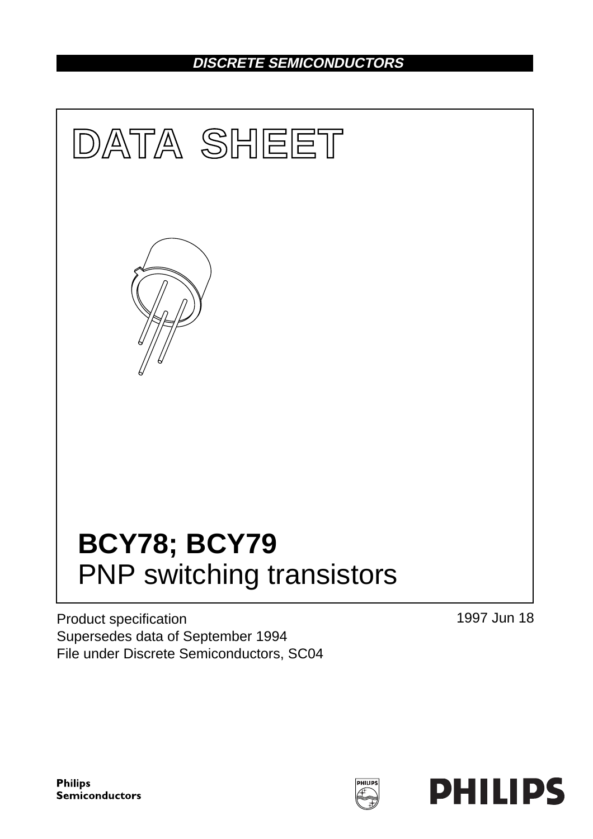## **DISCRETE SEMICONDUCTORS**



Product specification Supersedes data of September 1994 File under Discrete Semiconductors, SC04 1997 Jun 18

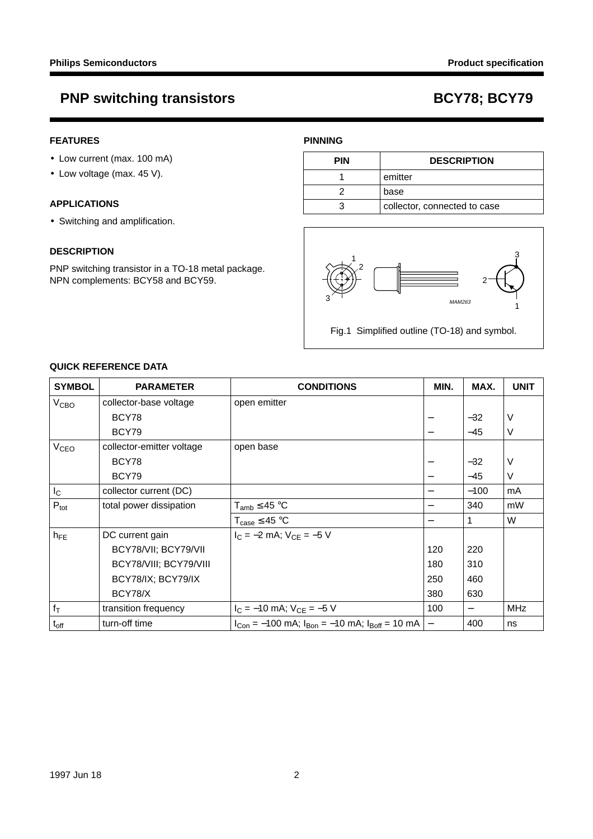## **FEATURES**

- Low current (max. 100 mA)
- Low voltage (max. 45 V).

## **APPLICATIONS**

• Switching and amplification.

### **DESCRIPTION**

PNP switching transistor in a TO-18 metal package. NPN complements: BCY58 and BCY59.

## **PINNING**

| <b>PIN</b> | <b>DESCRIPTION</b>           |
|------------|------------------------------|
|            | emitter                      |
|            | base                         |
|            | collector, connected to case |



Fig.1 Simplified outline (TO-18) and symbol.

## **QUICK REFERENCE DATA**

| <b>SYMBOL</b>          | <b>PARAMETER</b>          | <b>CONDITIONS</b>                                           | MIN. | MAX.   | <b>UNIT</b> |
|------------------------|---------------------------|-------------------------------------------------------------|------|--------|-------------|
| V <sub>CBO</sub>       | collector-base voltage    | open emitter                                                |      |        |             |
|                        | BCY78                     |                                                             |      | $-32$  | V           |
|                        | BCY79                     |                                                             | —    | $-45$  | $\vee$      |
| <b>V<sub>CEO</sub></b> | collector-emitter voltage | open base                                                   |      |        |             |
|                        | BCY78                     |                                                             |      | $-32$  | V           |
|                        | BCY79                     |                                                             |      | $-45$  | V           |
| $I_{\rm C}$            | collector current (DC)    |                                                             |      | $-100$ | mA          |
| $P_{\text{tot}}$       | total power dissipation   | $T_{amb} \leq 45 °C$                                        | —    | 340    | mW          |
|                        |                           | $T_{\text{case}} \leq 45 \text{ °C}$                        |      | 1      | W           |
| $h_{FE}$               | DC current gain           | $I_C = -2$ mA; $V_{CF} = -5$ V                              |      |        |             |
|                        | BCY78/VII; BCY79/VII      |                                                             | 120  | 220    |             |
|                        | BCY78/VIII; BCY79/VIII    |                                                             | 180  | 310    |             |
|                        | BCY78/IX; BCY79/IX        |                                                             | 250  | 460    |             |
|                        | BCY78/X                   |                                                             | 380  | 630    |             |
| $f_T$                  | transition frequency      | $I_C = -10$ mA; $V_{CE} = -5$ V                             | 100  |        | <b>MHz</b>  |
| $t_{off}$              | turn-off time             | $I_{Con} = -100$ mA; $I_{Bon} = -10$ mA; $I_{Boff} = 10$ mA |      | 400    | ns          |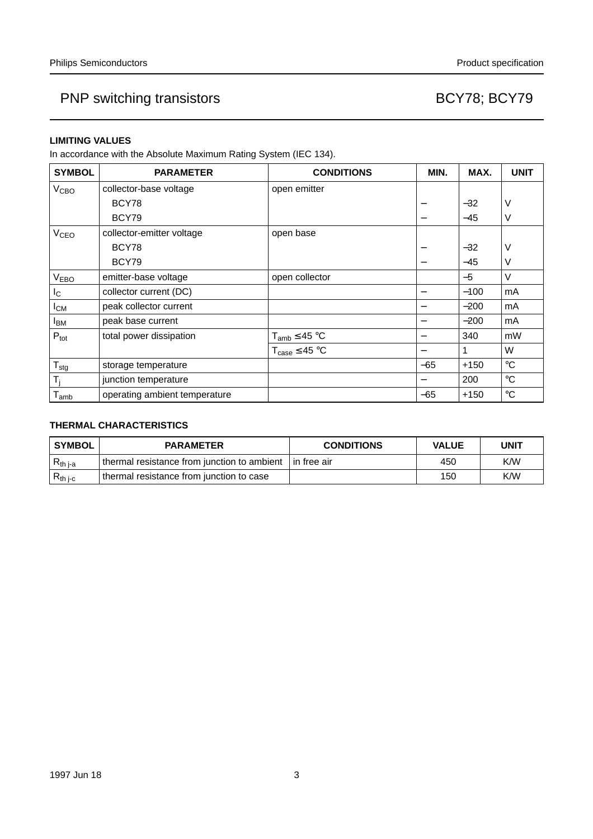### **LIMITING VALUES**

In accordance with the Absolute Maximum Rating System (IEC 134).

| <b>SYMBOL</b>               | <b>PARAMETER</b>              | <b>CONDITIONS</b>                    | MIN.  | MAX.         | <b>UNIT</b> |
|-----------------------------|-------------------------------|--------------------------------------|-------|--------------|-------------|
| V <sub>CBO</sub>            | collector-base voltage        | open emitter                         |       |              |             |
|                             | BCY78                         |                                      | -     | $-32$        | V           |
|                             | BCY79                         |                                      | -     | $-45$        | V           |
| <b>V<sub>CEO</sub></b>      | collector-emitter voltage     | open base                            |       |              |             |
|                             | BCY78                         |                                      | -     | $-32$        | V           |
|                             | BCY79                         |                                      |       | $-45$        | V           |
| V <sub>EBO</sub>            | emitter-base voltage          | open collector                       |       | $-5$         | $\vee$      |
| $I_{\rm C}$                 | collector current (DC)        |                                      |       | $-100$       | mA          |
| $I_{CM}$                    | peak collector current        |                                      | -     | $-200$       | mA          |
| <b>I</b> <sub>BM</sub>      | peak base current             |                                      | -     | $-200$       | mA          |
| $P_{\text{tot}}$            | total power dissipation       | $T_{amb} \leq 45 °C$                 | —     | 340          | mW          |
|                             |                               | $T_{\text{case}} \leq 45 \text{ °C}$ | —     | $\mathbf{1}$ | W           |
| $T_{\text{stg}}$            | storage temperature           |                                      | $-65$ | $+150$       | $^{\circ}C$ |
| T <sub>i</sub>              | junction temperature          |                                      |       | 200          | $^{\circ}C$ |
| $\mathsf{T}_{\mathsf{amb}}$ | operating ambient temperature |                                      | $-65$ | $+150$       | $^{\circ}C$ |

## **THERMAL CHARACTERISTICS**

| <b>SYMBOL</b> | <b>PARAMETER</b>                              | <b>CONDITIONS</b> | <b>VALUE</b> | UNIT |
|---------------|-----------------------------------------------|-------------------|--------------|------|
| $R_{th\,j-a}$ | I thermal resistance from junction to ambient | l in free air     | 450          | K/W  |
| $R_{th\ j-c}$ | thermal resistance from junction to case      |                   | 150          | K/W  |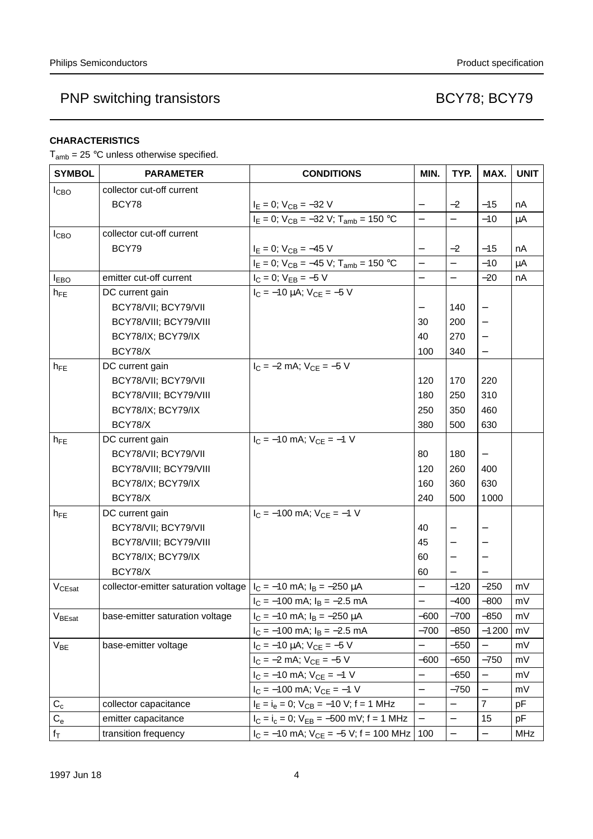## **CHARACTERISTICS**

 $T_{amb}$  = 25 °C unless otherwise specified.

| <b>SYMBOL</b>      | <b>PARAMETER</b>                                                         | <b>CONDITIONS</b>                                | MIN.                     | TYP.                     | MAX.                     | <b>UNIT</b> |
|--------------------|--------------------------------------------------------------------------|--------------------------------------------------|--------------------------|--------------------------|--------------------------|-------------|
| I <sub>CBO</sub>   | collector cut-off current                                                |                                                  |                          |                          |                          |             |
|                    | BCY78                                                                    | $I_E = 0$ ; $V_{CB} = -32$ V                     | $\qquad \qquad -$        | $-2$                     | $-15$                    | nA          |
|                    |                                                                          | $I_E = 0$ ; $V_{CB} = -32$ V; $T_{amb} = 150$ °C | $\overline{a}$           | $\overline{\phantom{0}}$ | $-10$                    | $\mu$ A     |
| <b>I</b> CBO       | collector cut-off current                                                |                                                  |                          |                          |                          |             |
|                    | BCY79                                                                    | $I_E = 0$ ; $V_{CB} = -45$ V                     |                          | $-2$                     | $-15$                    | nA          |
|                    |                                                                          | $I_E = 0$ ; $V_{CB} = -45$ V; $T_{amb} = 150$ °C | $\overline{\phantom{0}}$ | $\overline{\phantom{0}}$ | $-10$                    | $\mu$ A     |
| <b>IEBO</b>        | emitter cut-off current                                                  | $I_C = 0$ ; $V_{EB} = -5$ V                      | $\overline{\phantom{0}}$ | $\equiv$                 | $-20$                    | nA          |
| $h_{FE}$           | DC current gain                                                          | $I_C = -10 \mu A$ ; $V_{CE} = -5 V$              |                          |                          |                          |             |
|                    | BCY78/VII; BCY79/VII                                                     |                                                  |                          | 140                      |                          |             |
|                    | BCY78/VIII; BCY79/VIII                                                   |                                                  | 30                       | 200                      |                          |             |
|                    | BCY78/IX; BCY79/IX                                                       |                                                  | 40                       | 270                      |                          |             |
|                    | BCY78/X                                                                  |                                                  | 100                      | 340                      |                          |             |
| $h_{FE}$           | DC current gain                                                          | $I_C = -2$ mA; $V_{CE} = -5$ V                   |                          |                          |                          |             |
|                    | BCY78/VII; BCY79/VII                                                     |                                                  | 120                      | 170                      | 220                      |             |
|                    | BCY78/VIII; BCY79/VIII                                                   |                                                  | 180                      | 250                      | 310                      |             |
|                    | BCY78/IX; BCY79/IX                                                       |                                                  | 250                      | 350                      | 460                      |             |
|                    | BCY78/X                                                                  |                                                  | 380                      | 500                      | 630                      |             |
| $h_{FE}$           | DC current gain                                                          | $I_C = -10$ mA; $V_{CE} = -1$ V                  |                          |                          |                          |             |
|                    | BCY78/VII; BCY79/VII                                                     |                                                  | 80                       | 180                      |                          |             |
|                    | BCY78/VIII; BCY79/VIII                                                   |                                                  | 120                      | 260                      | 400                      |             |
|                    | BCY78/IX; BCY79/IX                                                       |                                                  | 160                      | 360                      | 630                      |             |
|                    | BCY78/X                                                                  |                                                  | 240                      | 500                      | 1000                     |             |
| $h_{FE}$           | DC current gain                                                          | $I_C = -100$ mA; $V_{CE} = -1$ V                 |                          |                          |                          |             |
|                    | BCY78/VII; BCY79/VII                                                     |                                                  | 40                       | $\qquad \qquad -$        |                          |             |
|                    | BCY78/VIII; BCY79/VIII                                                   |                                                  | 45                       |                          |                          |             |
|                    | BCY78/IX; BCY79/IX                                                       |                                                  | 60                       | $\overline{\phantom{m}}$ |                          |             |
|                    | BCY78/X                                                                  |                                                  | 60                       |                          |                          |             |
| V <sub>CEsat</sub> | collector-emitter saturation voltage $ I_C = -10$ mA; $I_B = -250 \mu A$ |                                                  | $\overline{\phantom{0}}$ | $-120$                   | $-250$                   | mV          |
|                    |                                                                          | $I_C = -100$ mA; $I_B = -2.5$ mA                 |                          | $-400$                   | $-800$                   | mV          |
| $V_{\text{BEsat}}$ | base-emitter saturation voltage                                          | $I_C = -10$ mA; $I_B = -250 \mu A$               | -600                     | -700                     | -850                     | m۷          |
|                    |                                                                          | $I_C = -100$ mA; $I_B = -2.5$ mA                 | $-700$                   | $-850$                   | $-1200$                  | mV          |
| $V_{BE}$           | base-emitter voltage                                                     | $I_C = -10 \mu A$ ; $V_{CE} = -5 V$              |                          | $-550$                   |                          | mV          |
|                    |                                                                          | $I_C = -2$ mA; $V_{CE} = -5$ V                   | $-600$                   | -650                     | $-750$                   | mV          |
|                    |                                                                          | $I_C = -10$ mA; $V_{CE} = -1$ V                  | $\overline{\phantom{0}}$ | $-650$                   |                          | mV          |
|                    |                                                                          | $I_C = -100$ mA; $V_{CE} = -1$ V                 | $\qquad \qquad -$        | $-750$                   | $\overline{\phantom{0}}$ | mV          |
| $C_{c}$            | collector capacitance                                                    | $I_E = I_e = 0$ ; $V_{CB} = -10$ V; f = 1 MHz    | $\qquad \qquad -$        | $\qquad \qquad -$        | $\overline{7}$           | pF          |
| $\mathrm{C_{e}}$   | emitter capacitance                                                      | $I_C = I_c = 0$ ; $V_{EB} = -500$ mV; f = 1 MHz  | $\overline{\phantom{0}}$ | $\qquad \qquad -$        | 15                       | pF          |
| $f_T$              | transition frequency                                                     | $I_C = -10$ mA; $V_{CE} = -5$ V; f = 100 MHz     | 100                      | $\qquad \qquad -$        | $\qquad \qquad -$        | MHz         |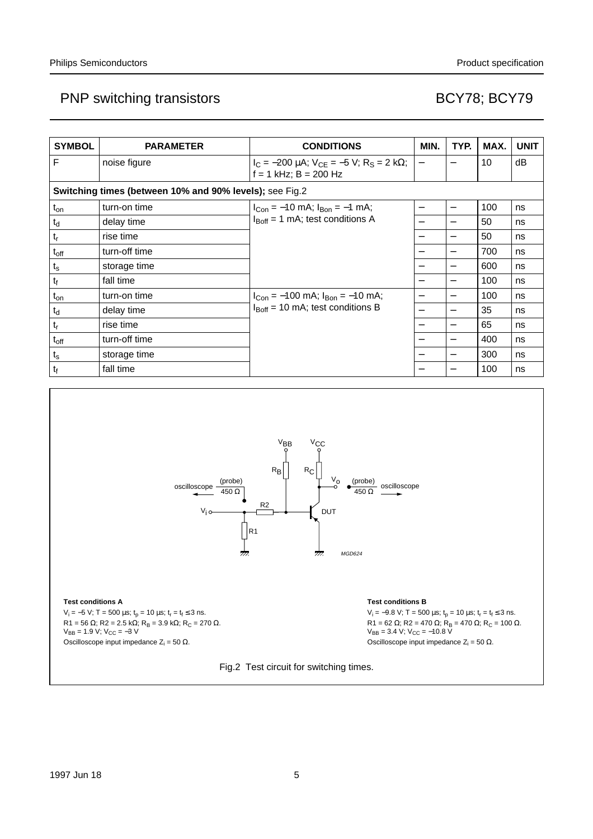| <b>SYMBOL</b>  | <b>PARAMETER</b>                                        | <b>CONDITIONS</b>                                                                     | MIN.                     | TYP.                     | MAX. | <b>UNIT</b> |
|----------------|---------------------------------------------------------|---------------------------------------------------------------------------------------|--------------------------|--------------------------|------|-------------|
| F              | noise figure                                            | $I_C = -200 \mu A$ ; $V_{CE} = -5 V$ ; $R_S = 2 k\Omega$ ;<br>$f = 1$ kHz; B = 200 Hz | $\qquad \qquad -$        | $\overline{\phantom{0}}$ | 10   | dB          |
|                | Switching times (between 10% and 90% levels); see Fig.2 |                                                                                       |                          |                          |      |             |
| $t_{on}$       | turn-on time                                            | $I_{Con} = -10$ mA; $I_{Bon} = -1$ mA;                                                | $\overline{\phantom{0}}$ |                          | 100  | ns          |
| $t_d$          | delay time                                              | $I_{\text{Boff}}$ = 1 mA; test conditions A                                           |                          |                          | 50   | ns          |
| $t_r$          | rise time                                               |                                                                                       |                          |                          | 50   | ns          |
| $t_{off}$      | turn-off time                                           |                                                                                       |                          | $\overline{\phantom{0}}$ | 700  | ns          |
| $t_{\rm s}$    | storage time                                            |                                                                                       |                          |                          | 600  | ns          |
| t <sub>f</sub> | fall time                                               |                                                                                       |                          | —                        | 100  | ns          |
| $t_{on}$       | turn-on time                                            | $I_{Con} = -100$ mA; $I_{Bon} = -10$ mA;                                              |                          | $\overline{\phantom{0}}$ | 100  | ns          |
| $t_d$          | delay time                                              | $I_{\text{Boff}}$ = 10 mA; test conditions B                                          |                          |                          | 35   | ns          |
| $t_r$          | rise time                                               |                                                                                       |                          |                          | 65   | ns          |
| $t_{off}$      | turn-off time                                           |                                                                                       |                          |                          | 400  | ns          |
| $t_{s}$        | storage time                                            |                                                                                       |                          |                          | 300  | ns          |
| t <sub>f</sub> | fall time                                               |                                                                                       |                          |                          | 100  | ns          |



#### **Test conditions A**

ndbook, full pagewidth

 $V_i = -5 V$ ; T = 500 µs; t<sub>p</sub> = 10 µs; t<sub>r</sub> = t<sub>f</sub> ≤ 3 ns.  $R1 = 56 Ω$ ;  $R2 = 2.5 kΩ$ ;  $R_B = 3.9 kΩ$ ;  $R_C = 270 Ω$ .  $V_{BB} = 1.9 \text{ V}; V_{CC} = -3 \text{ V}$ Oscilloscope input impedance  $Z_i = 50 \Omega$ .

#### **Test conditions B**

 $V_i = -9.8$  V; T = 500 µs;  $t_p = 10$  µs;  $t_r = t_f \le 3$  ns. R1 = 62 Ω; R2 = 470 Ω; R<sub>B</sub> = 470 Ω; R<sub>C</sub> = 100 Ω.  $V_{BB} = 3.4 V; V_{CC} = -10.8 V$ Oscilloscope input impedance  $Z_i = 50 \Omega$ .

Fig.2 Test circuit for switching times.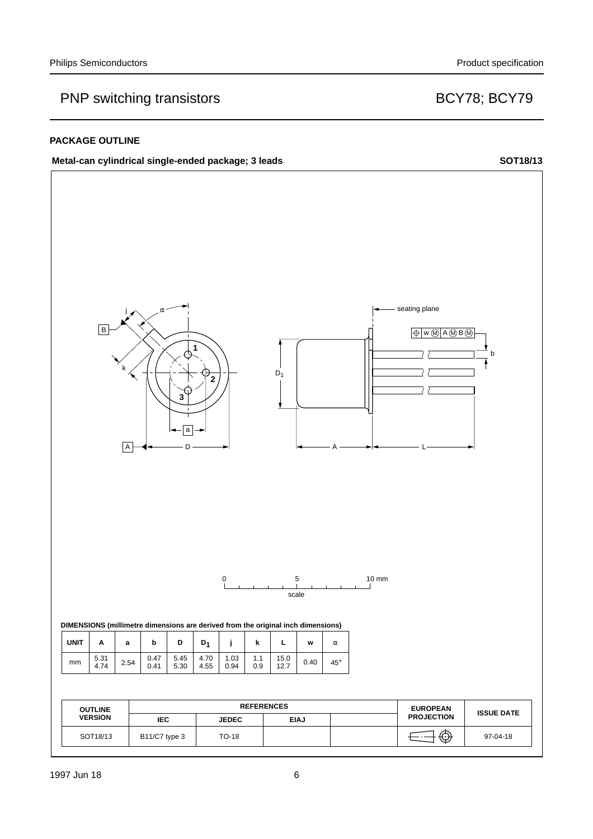### **PACKAGE OUTLINE**

## Metal-can cylindrical single-ended package; 3 leads SOT18/13

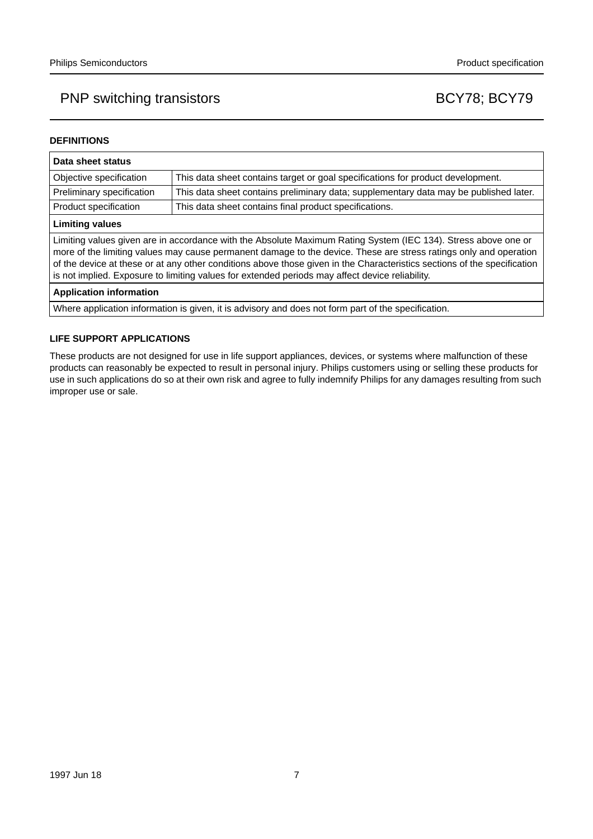### **DEFINITIONS**

| Data sheet status                                                                                                                                                                                                                                                                                                                                                                                                                                                  |                                                                                       |  |
|--------------------------------------------------------------------------------------------------------------------------------------------------------------------------------------------------------------------------------------------------------------------------------------------------------------------------------------------------------------------------------------------------------------------------------------------------------------------|---------------------------------------------------------------------------------------|--|
| Objective specification                                                                                                                                                                                                                                                                                                                                                                                                                                            | This data sheet contains target or goal specifications for product development.       |  |
| Preliminary specification                                                                                                                                                                                                                                                                                                                                                                                                                                          | This data sheet contains preliminary data; supplementary data may be published later. |  |
| Product specification                                                                                                                                                                                                                                                                                                                                                                                                                                              | This data sheet contains final product specifications.                                |  |
| <b>Limiting values</b>                                                                                                                                                                                                                                                                                                                                                                                                                                             |                                                                                       |  |
| Limiting values given are in accordance with the Absolute Maximum Rating System (IEC 134). Stress above one or<br>more of the limiting values may cause permanent damage to the device. These are stress ratings only and operation<br>of the device at these or at any other conditions above those given in the Characteristics sections of the specification<br>is not implied. Exposure to limiting values for extended periods may affect device reliability. |                                                                                       |  |
| <b>Application information</b>                                                                                                                                                                                                                                                                                                                                                                                                                                     |                                                                                       |  |

Where application information is given, it is advisory and does not form part of the specification.

### **LIFE SUPPORT APPLICATIONS**

These products are not designed for use in life support appliances, devices, or systems where malfunction of these products can reasonably be expected to result in personal injury. Philips customers using or selling these products for use in such applications do so at their own risk and agree to fully indemnify Philips for any damages resulting from such improper use or sale.